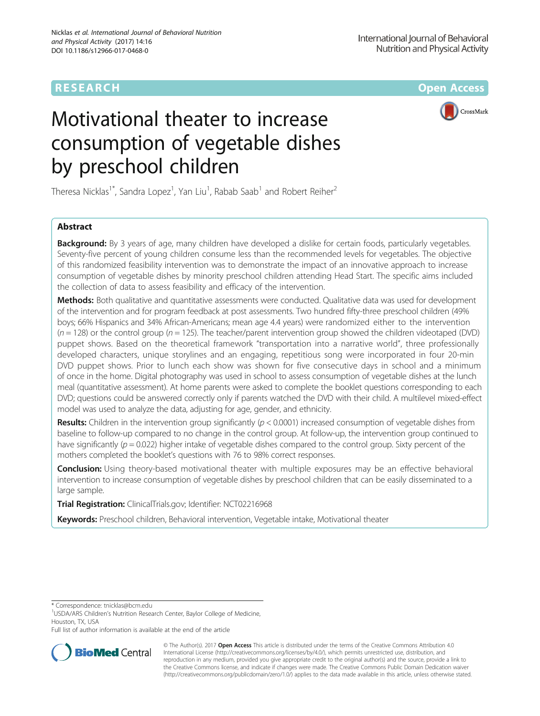# **RESEARCH CHE Open Access**

CrossMark

# Motivational theater to increase consumption of vegetable dishes by preschool children

Theresa Nicklas<sup>1\*</sup>, Sandra Lopez<sup>1</sup>, Yan Liu<sup>1</sup>, Rabab Saab<sup>1</sup> and Robert Reiher<sup>2</sup>

## Abstract

**Background:** By 3 years of age, many children have developed a dislike for certain foods, particularly vegetables. Seventy-five percent of young children consume less than the recommended levels for vegetables. The objective of this randomized feasibility intervention was to demonstrate the impact of an innovative approach to increase consumption of vegetable dishes by minority preschool children attending Head Start. The specific aims included the collection of data to assess feasibility and efficacy of the intervention.

Methods: Both qualitative and quantitative assessments were conducted. Qualitative data was used for development of the intervention and for program feedback at post assessments. Two hundred fifty-three preschool children (49% boys; 66% Hispanics and 34% African-Americans; mean age 4.4 years) were randomized either to the intervention  $(n = 128)$  or the control group  $(n = 125)$ . The teacher/parent intervention group showed the children videotaped (DVD) puppet shows. Based on the theoretical framework "transportation into a narrative world", three professionally developed characters, unique storylines and an engaging, repetitious song were incorporated in four 20-min DVD puppet shows. Prior to lunch each show was shown for five consecutive days in school and a minimum of once in the home. Digital photography was used in school to assess consumption of vegetable dishes at the lunch meal (quantitative assessment). At home parents were asked to complete the booklet questions corresponding to each DVD; questions could be answered correctly only if parents watched the DVD with their child. A multilevel mixed-effect model was used to analyze the data, adjusting for age, gender, and ethnicity.

**Results:** Children in the intervention group significantly ( $p < 0.0001$ ) increased consumption of vegetable dishes from baseline to follow-up compared to no change in the control group. At follow-up, the intervention group continued to have significantly ( $p = 0.022$ ) higher intake of vegetable dishes compared to the control group. Sixty percent of the mothers completed the booklet's questions with 76 to 98% correct responses.

Conclusion: Using theory-based motivational theater with multiple exposures may be an effective behavioral intervention to increase consumption of vegetable dishes by preschool children that can be easily disseminated to a large sample.

Trial Registration: ClinicalTrials.gov; Identifier: [NCT02216968](https://clinicaltrials.gov/show/NCT02216968)

Keywords: Preschool children, Behavioral intervention, Vegetable intake, Motivational theater

\* Correspondence: [tnicklas@bcm.edu](mailto:tnicklas@bcm.edu) <sup>1</sup>

<sup>1</sup>USDA/ARS Children's Nutrition Research Center, Baylor College of Medicine, Houston, TX, USA

Full list of author information is available at the end of the article



© The Author(s). 2017 **Open Access** This article is distributed under the terms of the Creative Commons Attribution 4.0 International License [\(http://creativecommons.org/licenses/by/4.0/](http://creativecommons.org/licenses/by/4.0/)), which permits unrestricted use, distribution, and reproduction in any medium, provided you give appropriate credit to the original author(s) and the source, provide a link to the Creative Commons license, and indicate if changes were made. The Creative Commons Public Domain Dedication waiver [\(http://creativecommons.org/publicdomain/zero/1.0/](http://creativecommons.org/publicdomain/zero/1.0/)) applies to the data made available in this article, unless otherwise stated.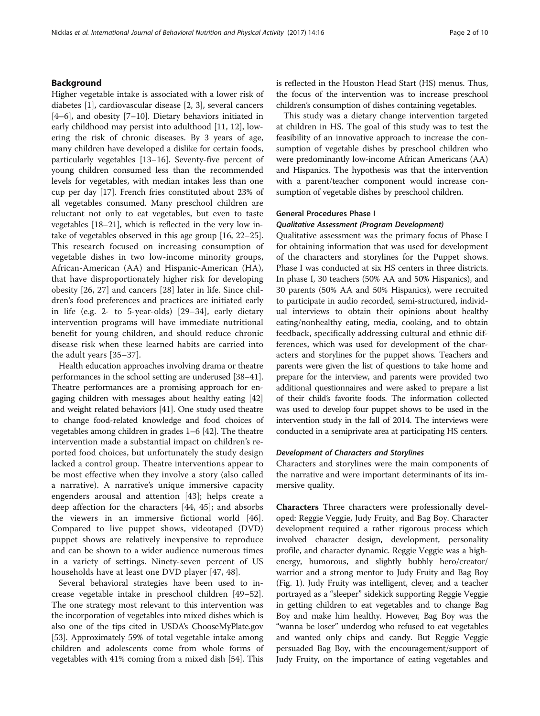### Background

Higher vegetable intake is associated with a lower risk of diabetes [[1\]](#page-8-0), cardiovascular disease [[2, 3\]](#page-8-0), several cancers [[4](#page-8-0)–[6\]](#page-8-0), and obesity [\[7](#page-8-0)–[10\]](#page-8-0). Dietary behaviors initiated in early childhood may persist into adulthood [\[11](#page-8-0), [12](#page-8-0)], lowering the risk of chronic diseases. By 3 years of age, many children have developed a dislike for certain foods, particularly vegetables [\[13](#page-8-0)–[16\]](#page-9-0). Seventy-five percent of young children consumed less than the recommended levels for vegetables, with median intakes less than one cup per day [\[17](#page-9-0)]. French fries constituted about 23% of all vegetables consumed. Many preschool children are reluctant not only to eat vegetables, but even to taste vegetables [[18](#page-9-0)–[21](#page-9-0)], which is reflected in the very low intake of vegetables observed in this age group [\[16, 22](#page-9-0)–[25](#page-9-0)]. This research focused on increasing consumption of vegetable dishes in two low-income minority groups, African-American (AA) and Hispanic-American (HA), that have disproportionately higher risk for developing obesity [\[26](#page-9-0), [27](#page-9-0)] and cancers [\[28](#page-9-0)] later in life. Since children's food preferences and practices are initiated early in life (e.g. 2- to 5-year-olds) [\[29](#page-9-0)–[34](#page-9-0)], early dietary intervention programs will have immediate nutritional benefit for young children, and should reduce chronic disease risk when these learned habits are carried into the adult years [\[35](#page-9-0)–[37](#page-9-0)].

Health education approaches involving drama or theatre performances in the school setting are underused [\[38](#page-9-0)–[41](#page-9-0)]. Theatre performances are a promising approach for engaging children with messages about healthy eating [[42](#page-9-0)] and weight related behaviors [\[41](#page-9-0)]. One study used theatre to change food-related knowledge and food choices of vegetables among children in grades 1–6 [\[42\]](#page-9-0). The theatre intervention made a substantial impact on children's reported food choices, but unfortunately the study design lacked a control group. Theatre interventions appear to be most effective when they involve a story (also called a narrative). A narrative's unique immersive capacity engenders arousal and attention [\[43](#page-9-0)]; helps create a deep affection for the characters [[44, 45\]](#page-9-0); and absorbs the viewers in an immersive fictional world [\[46](#page-9-0)]. Compared to live puppet shows, videotaped (DVD) puppet shows are relatively inexpensive to reproduce and can be shown to a wider audience numerous times in a variety of settings. Ninety-seven percent of US households have at least one DVD player [[47, 48\]](#page-9-0).

Several behavioral strategies have been used to increase vegetable intake in preschool children [[49](#page-9-0)–[52](#page-9-0)]. The one strategy most relevant to this intervention was the incorporation of vegetables into mixed dishes which is also one of the tips cited in USDA's ChooseMyPlate.gov [[53](#page-9-0)]. Approximately 59% of total vegetable intake among children and adolescents come from whole forms of vegetables with 41% coming from a mixed dish [[54](#page-9-0)]. This is reflected in the Houston Head Start (HS) menus. Thus, the focus of the intervention was to increase preschool children's consumption of dishes containing vegetables.

This study was a dietary change intervention targeted at children in HS. The goal of this study was to test the feasibility of an innovative approach to increase the consumption of vegetable dishes by preschool children who were predominantly low-income African Americans (AA) and Hispanics. The hypothesis was that the intervention with a parent/teacher component would increase consumption of vegetable dishes by preschool children.

#### General Procedures Phase I

#### Qualitative Assessment (Program Development)

Qualitative assessment was the primary focus of Phase I for obtaining information that was used for development of the characters and storylines for the Puppet shows. Phase I was conducted at six HS centers in three districts. In phase I, 30 teachers (50% AA and 50% Hispanics), and 30 parents (50% AA and 50% Hispanics), were recruited to participate in audio recorded, semi-structured, individual interviews to obtain their opinions about healthy eating/nonhealthy eating, media, cooking, and to obtain feedback, specifically addressing cultural and ethnic differences, which was used for development of the characters and storylines for the puppet shows. Teachers and parents were given the list of questions to take home and prepare for the interview, and parents were provided two additional questionnaires and were asked to prepare a list of their child's favorite foods. The information collected was used to develop four puppet shows to be used in the intervention study in the fall of 2014. The interviews were conducted in a semiprivate area at participating HS centers.

#### Development of Characters and Storylines

Characters and storylines were the main components of the narrative and were important determinants of its immersive quality.

Characters Three characters were professionally developed: Reggie Veggie, Judy Fruity, and Bag Boy. Character development required a rather rigorous process which involved character design, development, personality profile, and character dynamic. Reggie Veggie was a highenergy, humorous, and slightly bubbly hero/creator/ warrior and a strong mentor to Judy Fruity and Bag Boy (Fig. [1\)](#page-2-0). Judy Fruity was intelligent, clever, and a teacher portrayed as a "sleeper" sidekick supporting Reggie Veggie in getting children to eat vegetables and to change Bag Boy and make him healthy. However, Bag Boy was the "wanna be loser" underdog who refused to eat vegetables and wanted only chips and candy. But Reggie Veggie persuaded Bag Boy, with the encouragement/support of Judy Fruity, on the importance of eating vegetables and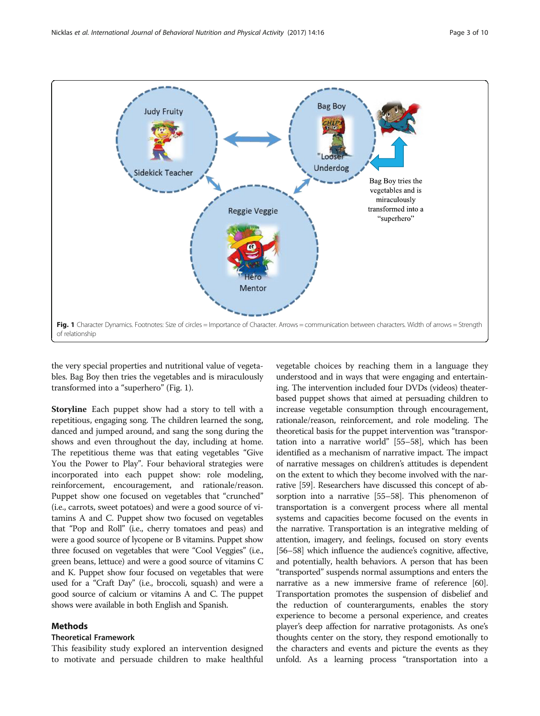<span id="page-2-0"></span>

the very special properties and nutritional value of vegetables. Bag Boy then tries the vegetables and is miraculously transformed into a "superhero" (Fig. 1).

Storyline Each puppet show had a story to tell with a repetitious, engaging song. The children learned the song, danced and jumped around, and sang the song during the shows and even throughout the day, including at home. The repetitious theme was that eating vegetables "Give You the Power to Play". Four behavioral strategies were incorporated into each puppet show: role modeling, reinforcement, encouragement, and rationale/reason. Puppet show one focused on vegetables that "crunched" (i.e., carrots, sweet potatoes) and were a good source of vitamins A and C. Puppet show two focused on vegetables that "Pop and Roll" (i.e., cherry tomatoes and peas) and were a good source of lycopene or B vitamins. Puppet show three focused on vegetables that were "Cool Veggies" (i.e., green beans, lettuce) and were a good source of vitamins C and K. Puppet show four focused on vegetables that were used for a "Craft Day" (i.e., broccoli, squash) and were a good source of calcium or vitamins A and C. The puppet shows were available in both English and Spanish.

#### Methods

#### Theoretical Framework

This feasibility study explored an intervention designed to motivate and persuade children to make healthful

vegetable choices by reaching them in a language they understood and in ways that were engaging and entertaining. The intervention included four DVDs (videos) theaterbased puppet shows that aimed at persuading children to increase vegetable consumption through encouragement, rationale/reason, reinforcement, and role modeling. The theoretical basis for the puppet intervention was "transportation into a narrative world" [\[55](#page-9-0)–[58](#page-9-0)], which has been identified as a mechanism of narrative impact. The impact of narrative messages on children's attitudes is dependent on the extent to which they become involved with the narrative [\[59](#page-9-0)]. Researchers have discussed this concept of absorption into a narrative [[55](#page-9-0)–[58\]](#page-9-0). This phenomenon of transportation is a convergent process where all mental systems and capacities become focused on the events in the narrative. Transportation is an integrative melding of attention, imagery, and feelings, focused on story events [[56](#page-9-0)–[58\]](#page-9-0) which influence the audience's cognitive, affective, and potentially, health behaviors. A person that has been "transported" suspends normal assumptions and enters the narrative as a new immersive frame of reference [\[60](#page-9-0)]. Transportation promotes the suspension of disbelief and the reduction of counterarguments, enables the story experience to become a personal experience, and creates player's deep affection for narrative protagonists. As one's thoughts center on the story, they respond emotionally to the characters and events and picture the events as they unfold. As a learning process "transportation into a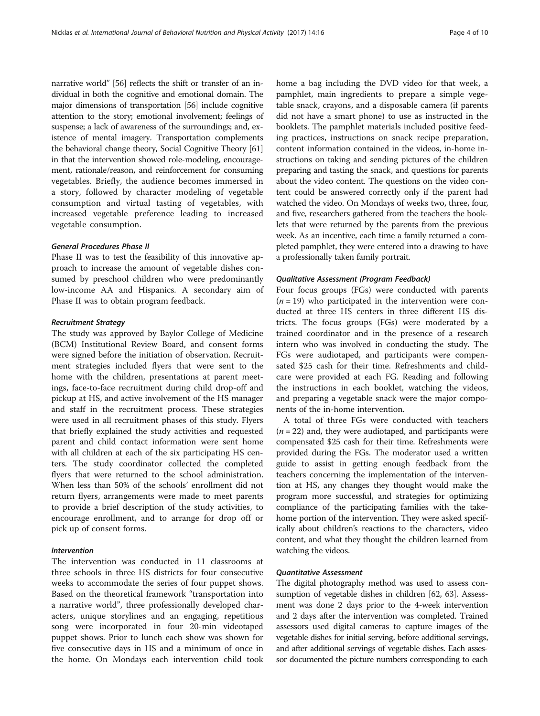narrative world" [\[56\]](#page-9-0) reflects the shift or transfer of an individual in both the cognitive and emotional domain. The major dimensions of transportation [\[56\]](#page-9-0) include cognitive attention to the story; emotional involvement; feelings of suspense; a lack of awareness of the surroundings; and, existence of mental imagery. Transportation complements the behavioral change theory, Social Cognitive Theory [\[61](#page-9-0)] in that the intervention showed role-modeling, encouragement, rationale/reason, and reinforcement for consuming vegetables. Briefly, the audience becomes immersed in a story, followed by character modeling of vegetable consumption and virtual tasting of vegetables, with increased vegetable preference leading to increased vegetable consumption.

#### General Procedures Phase II

Phase II was to test the feasibility of this innovative approach to increase the amount of vegetable dishes consumed by preschool children who were predominantly low-income AA and Hispanics. A secondary aim of Phase II was to obtain program feedback.

#### Recruitment Strategy

The study was approved by Baylor College of Medicine (BCM) Institutional Review Board, and consent forms were signed before the initiation of observation. Recruitment strategies included flyers that were sent to the home with the children, presentations at parent meetings, face-to-face recruitment during child drop-off and pickup at HS, and active involvement of the HS manager and staff in the recruitment process. These strategies were used in all recruitment phases of this study. Flyers that briefly explained the study activities and requested parent and child contact information were sent home with all children at each of the six participating HS centers. The study coordinator collected the completed flyers that were returned to the school administration. When less than 50% of the schools' enrollment did not return flyers, arrangements were made to meet parents to provide a brief description of the study activities, to encourage enrollment, and to arrange for drop off or pick up of consent forms.

#### Intervention

The intervention was conducted in 11 classrooms at three schools in three HS districts for four consecutive weeks to accommodate the series of four puppet shows. Based on the theoretical framework "transportation into a narrative world", three professionally developed characters, unique storylines and an engaging, repetitious song were incorporated in four 20-min videotaped puppet shows. Prior to lunch each show was shown for five consecutive days in HS and a minimum of once in the home. On Mondays each intervention child took home a bag including the DVD video for that week, a pamphlet, main ingredients to prepare a simple vegetable snack, crayons, and a disposable camera (if parents did not have a smart phone) to use as instructed in the booklets. The pamphlet materials included positive feeding practices, instructions on snack recipe preparation, content information contained in the videos, in-home instructions on taking and sending pictures of the children preparing and tasting the snack, and questions for parents about the video content. The questions on the video content could be answered correctly only if the parent had watched the video. On Mondays of weeks two, three, four, and five, researchers gathered from the teachers the booklets that were returned by the parents from the previous week. As an incentive, each time a family returned a completed pamphlet, they were entered into a drawing to have a professionally taken family portrait.

#### Qualitative Assessment (Program Feedback)

Four focus groups (FGs) were conducted with parents  $(n = 19)$  who participated in the intervention were conducted at three HS centers in three different HS districts. The focus groups (FGs) were moderated by a trained coordinator and in the presence of a research intern who was involved in conducting the study. The FGs were audiotaped, and participants were compensated \$25 cash for their time. Refreshments and childcare were provided at each FG. Reading and following the instructions in each booklet, watching the videos, and preparing a vegetable snack were the major components of the in-home intervention.

A total of three FGs were conducted with teachers  $(n = 22)$  and, they were audiotaped, and participants were compensated \$25 cash for their time. Refreshments were provided during the FGs. The moderator used a written guide to assist in getting enough feedback from the teachers concerning the implementation of the intervention at HS, any changes they thought would make the program more successful, and strategies for optimizing compliance of the participating families with the takehome portion of the intervention. They were asked specifically about children's reactions to the characters, video content, and what they thought the children learned from watching the videos.

#### Quantitative Assessment

The digital photography method was used to assess consumption of vegetable dishes in children [[62](#page-9-0), [63\]](#page-9-0). Assessment was done 2 days prior to the 4-week intervention and 2 days after the intervention was completed. Trained assessors used digital cameras to capture images of the vegetable dishes for initial serving, before additional servings, and after additional servings of vegetable dishes. Each assessor documented the picture numbers corresponding to each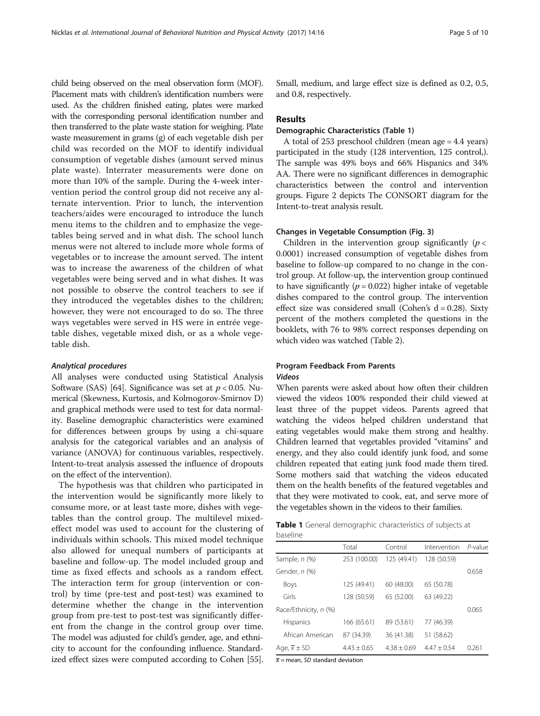child being observed on the meal observation form (MOF). Placement mats with children's identification numbers were used. As the children finished eating, plates were marked with the corresponding personal identification number and then transferred to the plate waste station for weighing. Plate waste measurement in grams (g) of each vegetable dish per child was recorded on the MOF to identify individual consumption of vegetable dishes (amount served minus plate waste). Interrater measurements were done on more than 10% of the sample. During the 4-week intervention period the control group did not receive any alternate intervention. Prior to lunch, the intervention teachers/aides were encouraged to introduce the lunch menu items to the children and to emphasize the vegetables being served and in what dish. The school lunch menus were not altered to include more whole forms of vegetables or to increase the amount served. The intent was to increase the awareness of the children of what vegetables were being served and in what dishes. It was not possible to observe the control teachers to see if they introduced the vegetables dishes to the children; however, they were not encouraged to do so. The three ways vegetables were served in HS were in entrée vegetable dishes, vegetable mixed dish, or as a whole vegetable dish.

#### Analytical procedures

All analyses were conducted using Statistical Analysis Software (SAS) [[64](#page-9-0)]. Significance was set at  $p < 0.05$ . Numerical (Skewness, Kurtosis, and Kolmogorov-Smirnov D) and graphical methods were used to test for data normality. Baseline demographic characteristics were examined for differences between groups by using a chi-square analysis for the categorical variables and an analysis of variance (ANOVA) for continuous variables, respectively. Intent-to-treat analysis assessed the influence of dropouts on the effect of the intervention).

The hypothesis was that children who participated in the intervention would be significantly more likely to consume more, or at least taste more, dishes with vegetables than the control group. The multilevel mixedeffect model was used to account for the clustering of individuals within schools. This mixed model technique also allowed for unequal numbers of participants at baseline and follow-up. The model included group and time as fixed effects and schools as a random effect. The interaction term for group (intervention or control) by time (pre-test and post-test) was examined to determine whether the change in the intervention group from pre-test to post-test was significantly different from the change in the control group over time. The model was adjusted for child's gender, age, and ethnicity to account for the confounding influence. Standardized effect sizes were computed according to Cohen [[55](#page-9-0)]. Small, medium, and large effect size is defined as 0.2, 0.5, and 0.8, respectively.

#### **Results**

#### Demographic Characteristics (Table 1)

A total of 253 preschool children (mean age = 4.4 years) participated in the study (128 intervention, 125 control,). The sample was 49% boys and 66% Hispanics and 34% AA. There were no significant differences in demographic characteristics between the control and intervention groups. Figure [2](#page-5-0) depicts The CONSORT diagram for the Intent-to-treat analysis result.

#### Changes in Vegetable Consumption (Fig. [3](#page-5-0))

Children in the intervention group significantly  $(p <$ 0.0001) increased consumption of vegetable dishes from baseline to follow-up compared to no change in the control group. At follow-up, the intervention group continued to have significantly ( $p = 0.022$ ) higher intake of vegetable dishes compared to the control group. The intervention effect size was considered small (Cohen's  $d = 0.28$ ). Sixty percent of the mothers completed the questions in the booklets, with 76 to 98% correct responses depending on which video was watched (Table [2\)](#page-6-0).

#### Program Feedback From Parents Videos

When parents were asked about how often their children viewed the videos 100% responded their child viewed at least three of the puppet videos. Parents agreed that watching the videos helped children understand that eating vegetables would make them strong and healthy. Children learned that vegetables provided "vitamins" and energy, and they also could identify junk food, and some children repeated that eating junk food made them tired. Some mothers said that watching the videos educated them on the health benefits of the featured vegetables and that they were motivated to cook, eat, and serve more of the vegetables shown in the videos to their families.

Table 1 General demographic characteristics of subjects at baseline

|                            | Total           | Control       | Intervention  | $P$ -value |
|----------------------------|-----------------|---------------|---------------|------------|
| Sample, n (%)              | 253 (100.00)    | 125 (49.41)   | 128 (50.59)   |            |
| Gender, n (%)              |                 |               |               | 0.658      |
| Boys                       | 125 (49.41)     | 60 (48.00)    | 65 (50.78)    |            |
| Girls                      | 128 (50.59)     | 65 (52.00)    | 63 (49.22)    |            |
| Race/Ethnicity, n (%)      |                 |               |               | 0.065      |
| <b>Hispanics</b>           | 166 (65.61)     | 89 (53.61)    | 77 (46.39)    |            |
| African American           | 87 (34.39)      | 36 (41.38)    | 51 (58.62)    |            |
| Age, $\overline{x} \pm SD$ | $4.43 \pm 0.65$ | $4.38 + 0.69$ | $4.47 + 0.54$ | 0.261      |

 $\overline{x}$  = mean, SD standard deviation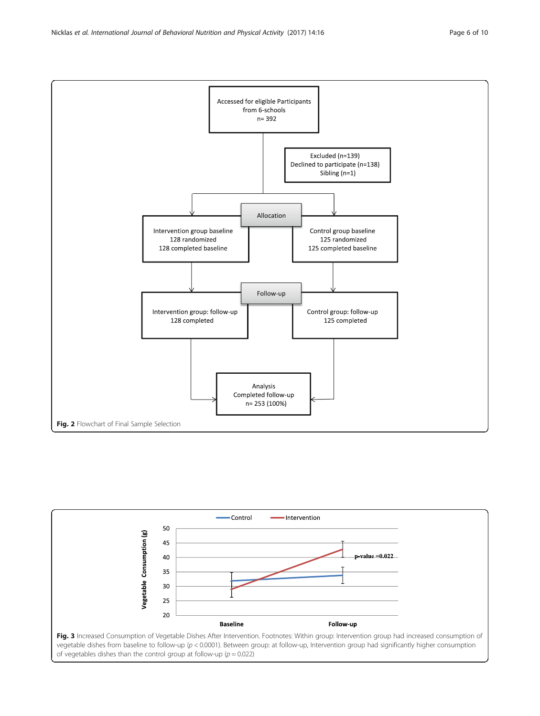<span id="page-5-0"></span>Nicklas et al. International Journal of Behavioral Nutrition and Physical Activity (2017) 14:16 Page 6 of 10



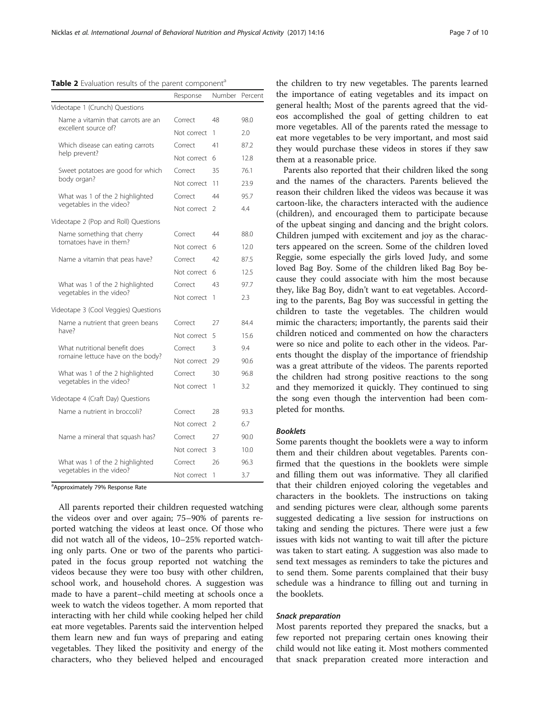<span id="page-6-0"></span>Table 2 Evaluation results of the parent component<sup>a</sup>

|                                      | Response    | Number         | Percent |
|--------------------------------------|-------------|----------------|---------|
| Videotape 1 (Crunch) Questions       |             |                |         |
| Name a vitamin that carrots are an   | Correct     | 48             | 98.0    |
| excellent source of?                 | Not correct | 1              | 2.0     |
| Which disease can eating carrots     | Correct     | 41             | 87.2    |
| help prevent?                        | Not correct | 6              | 12.8    |
| Sweet potatoes are good for which    | Correct     | 35             | 76.1    |
| body organ?                          | Not correct | 11             | 23.9    |
| What was 1 of the 2 highlighted      | Correct     | 44             | 95.7    |
| vegetables in the video?             | Not correct | $\mathcal{L}$  | 4.4     |
| Videotape 2 (Pop and Roll) Questions |             |                |         |
| Name something that cherry           | Correct     | 44             | 88.0    |
| tomatoes have in them?               | Not correct | 6              | 12.0    |
| Name a vitamin that peas have?       | Correct     | 42             | 87.5    |
|                                      | Not correct | 6              | 12.5    |
| What was 1 of the 2 highlighted      | Correct     | 43             | 97.7    |
| vegetables in the video?             | Not correct | 1              | 2.3     |
| Videotape 3 (Cool Veggies) Questions |             |                |         |
| Name a nutrient that green beans     | Correct     | 27             | 84.4    |
| have?                                | Not correct | 5              | 15.6    |
| What nutritional benefit does        | Correct     | 3              | 9.4     |
| romaine lettuce have on the body?    | Not correct | 29             | 90.6    |
| What was 1 of the 2 highlighted      | Correct     | 30             | 96.8    |
| vegetables in the video?             | Not correct | 1              | 3.2     |
| Videotape 4 (Craft Day) Questions    |             |                |         |
| Name a nutrient in broccoli?         | Correct     | 28             | 93.3    |
|                                      | Not correct | $\mathfrak{D}$ | 6.7     |
| Name a mineral that squash has?      | Correct     | 27             | 90.0    |
|                                      | Not correct | 3              | 10.0    |
| What was 1 of the 2 highlighted      | Correct     | 26             | 96.3    |
| vegetables in the video?             | Not correct | 1              | 3.7     |

<sup>a</sup>Approximately 79% Response Rate

All parents reported their children requested watching the videos over and over again; 75–90% of parents reported watching the videos at least once. Of those who did not watch all of the videos, 10–25% reported watching only parts. One or two of the parents who participated in the focus group reported not watching the videos because they were too busy with other children, school work, and household chores. A suggestion was made to have a parent–child meeting at schools once a week to watch the videos together. A mom reported that interacting with her child while cooking helped her child eat more vegetables. Parents said the intervention helped them learn new and fun ways of preparing and eating vegetables. They liked the positivity and energy of the characters, who they believed helped and encouraged the children to try new vegetables. The parents learned the importance of eating vegetables and its impact on general health; Most of the parents agreed that the videos accomplished the goal of getting children to eat more vegetables. All of the parents rated the message to eat more vegetables to be very important, and most said they would purchase these videos in stores if they saw them at a reasonable price.

Parents also reported that their children liked the song and the names of the characters. Parents believed the reason their children liked the videos was because it was cartoon-like, the characters interacted with the audience (children), and encouraged them to participate because of the upbeat singing and dancing and the bright colors. Children jumped with excitement and joy as the characters appeared on the screen. Some of the children loved Reggie, some especially the girls loved Judy, and some loved Bag Boy. Some of the children liked Bag Boy because they could associate with him the most because they, like Bag Boy, didn't want to eat vegetables. According to the parents, Bag Boy was successful in getting the children to taste the vegetables. The children would mimic the characters; importantly, the parents said their children noticed and commented on how the characters were so nice and polite to each other in the videos. Parents thought the display of the importance of friendship was a great attribute of the videos. The parents reported the children had strong positive reactions to the song and they memorized it quickly. They continued to sing the song even though the intervention had been completed for months.

#### Booklets

Some parents thought the booklets were a way to inform them and their children about vegetables. Parents confirmed that the questions in the booklets were simple and filling them out was informative. They all clarified that their children enjoyed coloring the vegetables and characters in the booklets. The instructions on taking and sending pictures were clear, although some parents suggested dedicating a live session for instructions on taking and sending the pictures. There were just a few issues with kids not wanting to wait till after the picture was taken to start eating. A suggestion was also made to send text messages as reminders to take the pictures and to send them. Some parents complained that their busy schedule was a hindrance to filling out and turning in the booklets.

#### Snack preparation

Most parents reported they prepared the snacks, but a few reported not preparing certain ones knowing their child would not like eating it. Most mothers commented that snack preparation created more interaction and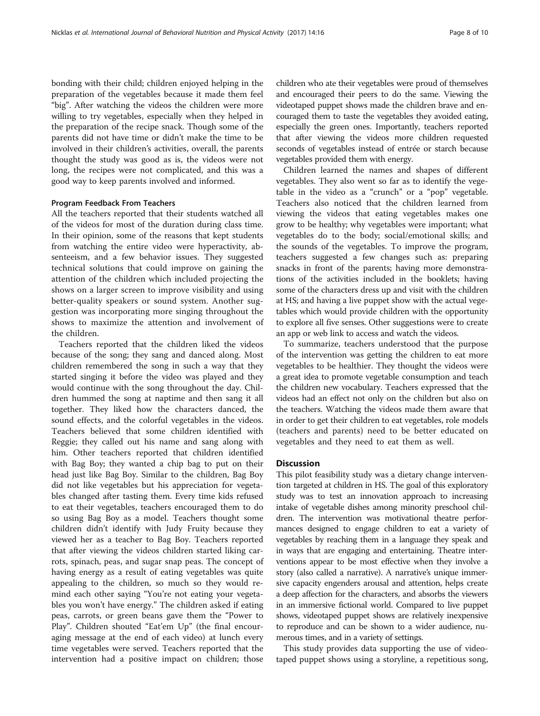bonding with their child; children enjoyed helping in the preparation of the vegetables because it made them feel "big". After watching the videos the children were more willing to try vegetables, especially when they helped in the preparation of the recipe snack. Though some of the parents did not have time or didn't make the time to be involved in their children's activities, overall, the parents thought the study was good as is, the videos were not long, the recipes were not complicated, and this was a good way to keep parents involved and informed.

#### Program Feedback From Teachers

All the teachers reported that their students watched all of the videos for most of the duration during class time. In their opinion, some of the reasons that kept students from watching the entire video were hyperactivity, absenteeism, and a few behavior issues. They suggested technical solutions that could improve on gaining the attention of the children which included projecting the shows on a larger screen to improve visibility and using better-quality speakers or sound system. Another suggestion was incorporating more singing throughout the shows to maximize the attention and involvement of the children.

Teachers reported that the children liked the videos because of the song; they sang and danced along. Most children remembered the song in such a way that they started singing it before the video was played and they would continue with the song throughout the day. Children hummed the song at naptime and then sang it all together. They liked how the characters danced, the sound effects, and the colorful vegetables in the videos. Teachers believed that some children identified with Reggie; they called out his name and sang along with him. Other teachers reported that children identified with Bag Boy; they wanted a chip bag to put on their head just like Bag Boy. Similar to the children, Bag Boy did not like vegetables but his appreciation for vegetables changed after tasting them. Every time kids refused to eat their vegetables, teachers encouraged them to do so using Bag Boy as a model. Teachers thought some children didn't identify with Judy Fruity because they viewed her as a teacher to Bag Boy. Teachers reported that after viewing the videos children started liking carrots, spinach, peas, and sugar snap peas. The concept of having energy as a result of eating vegetables was quite appealing to the children, so much so they would remind each other saying "You're not eating your vegetables you won't have energy." The children asked if eating peas, carrots, or green beans gave them the "Power to Play". Children shouted "Eat'em Up" (the final encouraging message at the end of each video) at lunch every time vegetables were served. Teachers reported that the intervention had a positive impact on children; those

children who ate their vegetables were proud of themselves and encouraged their peers to do the same. Viewing the videotaped puppet shows made the children brave and encouraged them to taste the vegetables they avoided eating, especially the green ones. Importantly, teachers reported that after viewing the videos more children requested seconds of vegetables instead of entrée or starch because vegetables provided them with energy.

Children learned the names and shapes of different vegetables. They also went so far as to identify the vegetable in the video as a "crunch" or a "pop" vegetable. Teachers also noticed that the children learned from viewing the videos that eating vegetables makes one grow to be healthy; why vegetables were important; what vegetables do to the body; social/emotional skills; and the sounds of the vegetables. To improve the program, teachers suggested a few changes such as: preparing snacks in front of the parents; having more demonstrations of the activities included in the booklets; having some of the characters dress up and visit with the children at HS; and having a live puppet show with the actual vegetables which would provide children with the opportunity to explore all five senses. Other suggestions were to create an app or web link to access and watch the videos.

To summarize, teachers understood that the purpose of the intervention was getting the children to eat more vegetables to be healthier. They thought the videos were a great idea to promote vegetable consumption and teach the children new vocabulary. Teachers expressed that the videos had an effect not only on the children but also on the teachers. Watching the videos made them aware that in order to get their children to eat vegetables, role models (teachers and parents) need to be better educated on vegetables and they need to eat them as well.

#### **Discussion**

This pilot feasibility study was a dietary change intervention targeted at children in HS. The goal of this exploratory study was to test an innovation approach to increasing intake of vegetable dishes among minority preschool children. The intervention was motivational theatre performances designed to engage children to eat a variety of vegetables by reaching them in a language they speak and in ways that are engaging and entertaining. Theatre interventions appear to be most effective when they involve a story (also called a narrative). A narrative's unique immersive capacity engenders arousal and attention, helps create a deep affection for the characters, and absorbs the viewers in an immersive fictional world. Compared to live puppet shows, videotaped puppet shows are relatively inexpensive to reproduce and can be shown to a wider audience, numerous times, and in a variety of settings.

This study provides data supporting the use of videotaped puppet shows using a storyline, a repetitious song,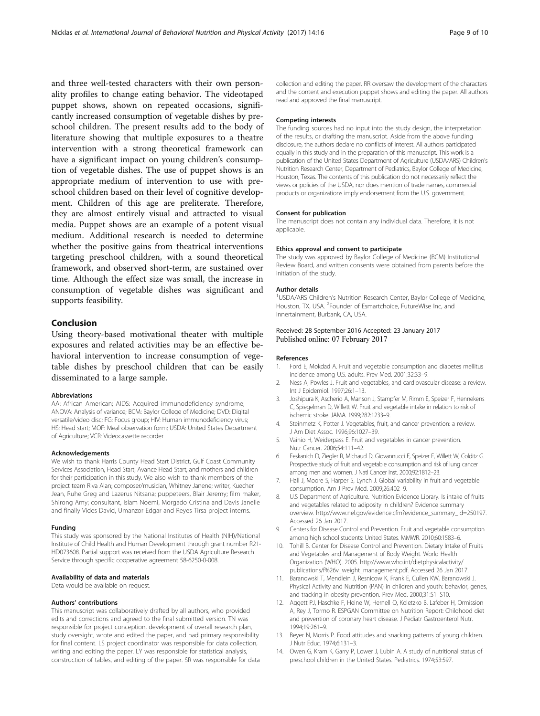<span id="page-8-0"></span>and three well-tested characters with their own personality profiles to change eating behavior. The videotaped puppet shows, shown on repeated occasions, significantly increased consumption of vegetable dishes by preschool children. The present results add to the body of literature showing that multiple exposures to a theatre intervention with a strong theoretical framework can have a significant impact on young children's consumption of vegetable dishes. The use of puppet shows is an appropriate medium of intervention to use with preschool children based on their level of cognitive development. Children of this age are preliterate. Therefore, they are almost entirely visual and attracted to visual media. Puppet shows are an example of a potent visual medium. Additional research is needed to determine whether the positive gains from theatrical interventions targeting preschool children, with a sound theoretical framework, and observed short-term, are sustained over time. Although the effect size was small, the increase in consumption of vegetable dishes was significant and supports feasibility.

#### Conclusion

Using theory-based motivational theater with multiple exposures and related activities may be an effective behavioral intervention to increase consumption of vegetable dishes by preschool children that can be easily disseminated to a large sample.

#### Abbreviations

AA: African American; AIDS: Acquired immunodeficiency syndrome; ANOVA: Analysis of variance; BCM: Baylor College of Medicine; DVD: Digital versatile/video disc; FG: Focus group; HIV: Human immunodeficiency virus; HS: Head start; MOF: Meal observation form; USDA: United States Department of Agriculture; VCR: Videocassette recorder

#### Acknowledgements

We wish to thank Harris County Head Start District, Gulf Coast Community Services Association, Head Start, Avance Head Start, and mothers and children for their participation in this study. We also wish to thank members of the project team Riva Alan; composer/musician, Whitney Janene; writer, Kuecher Jean, Ruhe Greg and Lazerus Nitsana; puppeteers, Blair Jeremy; film maker, Shirong Amy; consultant, Islam Noemi, Morgado Cristina and Davis Janelle and finally Vides David, Umanzor Edgar and Reyes Tirsa project interns.

#### Funding

This study was sponsored by the National Institutes of Health (NIH)/National Institute of Child Health and Human Development through grant number R21- HD073608. Partial support was received from the USDA Agriculture Research Service through specific cooperative agreement 58-6250-0-008.

#### Availability of data and materials

Data would be available on request.

#### Authors' contributions

This manuscript was collaboratively drafted by all authors, who provided edits and corrections and agreed to the final submitted version. TN was responsible for project conception, development of overall research plan, study oversight, wrote and edited the paper, and had primary responsibility for final content. LS project coordinator was responsible for data collection, writing and editing the paper. LY was responsible for statistical analysis, construction of tables, and editing of the paper. SR was responsible for data collection and editing the paper. RR oversaw the development of the characters and the content and execution puppet shows and editing the paper. All authors read and approved the final manuscript.

#### Competing interests

The funding sources had no input into the study design, the interpretation of the results, or drafting the manuscript. Aside from the above funding disclosure, the authors declare no conflicts of interest. All authors participated equally in this study and in the preparation of this manuscript. This work is a publication of the United States Department of Agriculture (USDA/ARS) Children's Nutrition Research Center, Department of Pediatrics, Baylor College of Medicine, Houston, Texas. The contents of this publication do not necessarily reflect the views or policies of the USDA, nor does mention of trade names, commercial products or organizations imply endorsement from the U.S. government.

#### Consent for publication

The manuscript does not contain any individual data. Therefore, it is not applicable.

#### Ethics approval and consent to participate

The study was approved by Baylor College of Medicine (BCM) Institutional Review Board, and written consents were obtained from parents before the initiation of the study.

#### Author details

<sup>1</sup>USDA/ARS Children's Nutrition Research Center, Baylor College of Medicine Houston, TX, USA. <sup>2</sup> Founder of Esmartchoice, FutureWise Inc, and Innertainment, Burbank, CA, USA.

#### Received: 28 September 2016 Accepted: 23 January 2017 Published online: 07 February 2017

#### References

- 1. Ford E, Mokdad A. Fruit and vegetable consumption and diabetes mellitus incidence among U.S. adults. Prev Med. 2001;32:33–9.
- 2. Ness A, Powles J. Fruit and vegetables, and cardiovascular disease: a review. Int J Epidemiol. 1997;26:1–13.
- 3. Joshipura K, Ascherio A, Manson J, Stampfer M, Rimm E, Speizer F, Hennekens C, Spiegelman D, Willett W. Fruit and vegetable intake in relation to risk of ischemic stroke. JAMA. 1999;282:1233–9.
- 4. Steinmetz K, Potter J. Vegetables, fruit, and cancer prevention: a review. J Am Diet Assoc. 1996;96:1027–39.
- 5. Vainio H, Weiderpass E. Fruit and vegetables in cancer prevention. Nutr Cancer. 2006;54:111–42.
- 6. Feskanich D, Ziegler R, Michaud D, Giovannucci E, Speizer F, Willett W, Colditz G. Prospective study of fruit and vegetable consumption and risk of lung cancer among men and women. J Natl Cancer Inst. 2000;92:1812–23.
- 7. Hall J, Moore S, Harper S, Lynch J. Global variability in fruit and vegetable consumption. Am J Prev Med. 2009;26:402–9.
- 8. U.S Department of Agriculture. Nutrition Evidence Library. Is intake of fruits and vegetables related to adiposity in children? Evidence summary overview. [http://www.nel.gov/evidence.cfm?evidence\\_summary\\_id=250197.](http://www.nel.gov/evidence.cfm?evidence_summary_id=250197) Accessed 26 Jan 2017.
- 9. Centers for Disease Control and Prevention. Fruit and vegetable consumption among high school students: United States. MMWR. 2010;60:1583–6.
- 10. Tohill B. Center for Disease Control and Prevention. Dietary Intake of Fruits and Vegetables and Management of Body Weight. World Health Organization (WHO). 2005. http://www.who.int/dietphysicalactivity/ publications/f%26v\_weight\_management.pdf. Accessed 26 Jan 2017.
- 11. Baranowski T, Mendlein J, Resnicow K, Frank E, Cullen KW, Baranowski J. Physical Activity and Nutrition (PAN) in children and youth: behavior, genes, and tracking in obesity prevention. Prev Med. 2000;31:S1–S10.
- 12. Aggett PJ, Haschke F, Heine W, Hernell O, Koletzko B, Lafeber H, Ormission A, Rey J, Tormo R. ESPGAN Committee on Nutrition Report: Childhood diet and prevention of coronary heart disease. J Pediatr Gastroenterol Nutr. 1994;19:261–9.
- 13. Beyer N, Morris P. Food attitudes and snacking patterns of young children. J Nutr Educ. 1974;6:131–3.
- 14. Owen G, Kram K, Garry P, Lower J, Lubin A. A study of nutritional status of preschool children in the United States. Pediatrics. 1974;53:597.